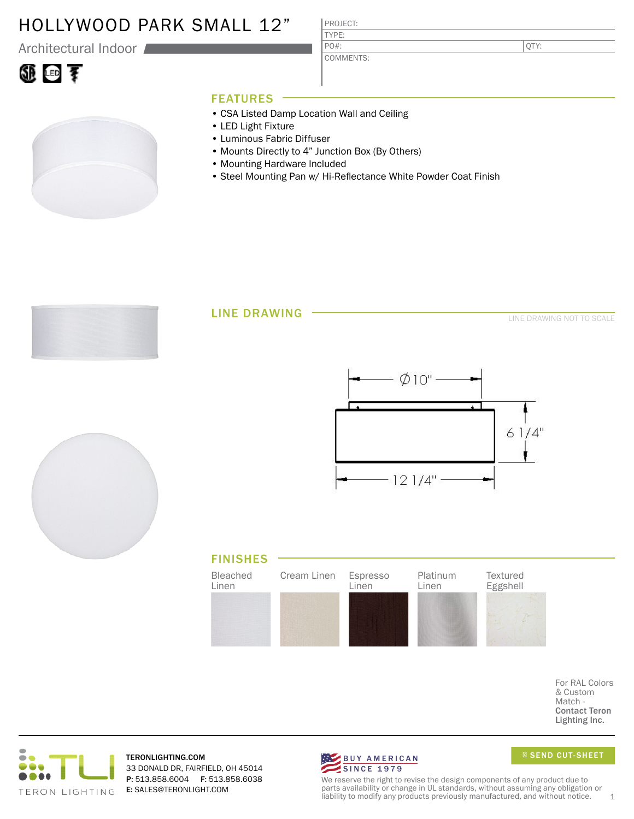### HOLLYWOOD PARK SMALL 12"

Architectural Indoor

# ①画す

PROJECT: TYPE:

PO#:

COMMENTS:

QTY:

### FEATURES

- CSA Listed Damp Location Wall and Ceiling
- LED Light Fixture
- Luminous Fabric Diffuser
- Mounts Directly to 4" Junction Box (By Others)
- Mounting Hardware Included
- Steel Mounting Pan w/ Hi-Reflectance White Powder Coat Finish

LINE DRAWING

LINE DRAWING NOT TO SCALE







For RAL Colors & Custom Match - Contact Teron Lighting Inc.



TERONLIGHTING.COM 33 DONALD DR, FAIRFIELD, OH 45014 P: 513.858.6004 F: 513.858.6038 E: SALES@TERONLIGHT.COM



SEND CUT-SHEET

We reserve the right to revise the design components of any product due to parts availability or change in UL standards, without assuming any obligation or liability to modify any products previously manufactured, and without notice.  $1$